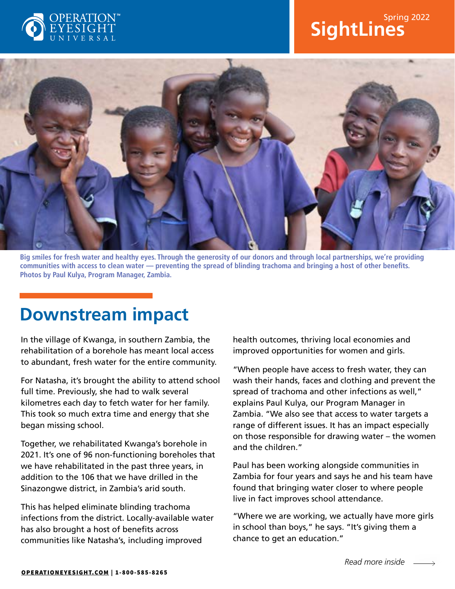

# **SightLines** Spring 2022



**Big smiles for fresh water and healthy eyes. Through the generosity of our donors and through local partnerships, we're providing communities with access to clean water — preventing the spread of blinding trachoma and bringing a host of other benefits. Photos by Paul Kulya, Program Manager, Zambia.**

### **Downstream impact**

In the village of Kwanga, in southern Zambia, the rehabilitation of a borehole has meant local access to abundant, fresh water for the entire community.

For Natasha, it's brought the ability to attend school full time. Previously, she had to walk several kilometres each day to fetch water for her family. This took so much extra time and energy that she began missing school.

Together, we rehabilitated Kwanga's borehole in 2021. It's one of 96 non-functioning boreholes that we have rehabilitated in the past three years, in addition to the 106 that we have drilled in the Sinazongwe district, in Zambia's arid south.

This has helped eliminate blinding trachoma infections from the district. Locally-available water has also brought a host of benefits across communities like Natasha's, including improved

health outcomes, thriving local economies and improved opportunities for women and girls.

"When people have access to fresh water, they can wash their hands, faces and clothing and prevent the spread of trachoma and other infections as well," explains Paul Kulya, our Program Manager in Zambia. "We also see that access to water targets a range of different issues. It has an impact especially on those responsible for drawing water – the women and the children."

Paul has been working alongside communities in Zambia for four years and says he and his team have found that bringing water closer to where people live in fact improves school attendance.

"Where we are working, we actually have more girls in school than boys," he says. "It's giving them a chance to get an education."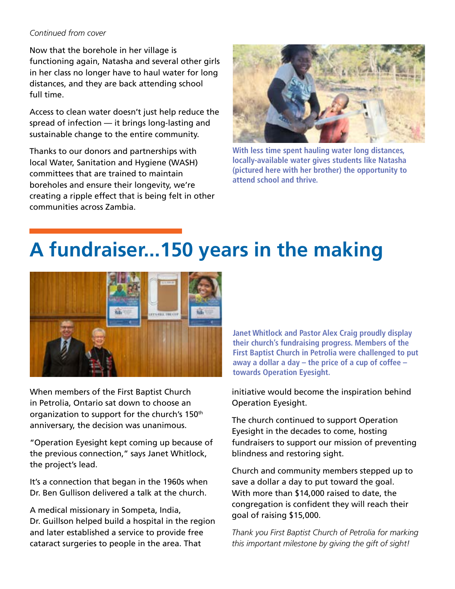#### *Continued from cover*

Now that the borehole in her village is functioning again, Natasha and several other girls in her class no longer have to haul water for long distances, and they are back attending school full time.

Access to clean water doesn't just help reduce the spread of infection — it brings long-lasting and sustainable change to the entire community.

Thanks to our donors and partnerships with local Water, Sanitation and Hygiene (WASH) committees that are trained to maintain boreholes and ensure their longevity, we're creating a ripple effect that is being felt in other communities across Zambia.



**With less time spent hauling water long distances, locally-available water gives students like Natasha (pictured here with her brother) the opportunity to attend school and thrive.**

# **A fundraiser...150 years in the making**



When members of the First Baptist Church in Petrolia, Ontario sat down to choose an organization to support for the church's 150<sup>th</sup> anniversary, the decision was unanimous.

"Operation Eyesight kept coming up because of the previous connection," says Janet Whitlock, the project's lead.

It's a connection that began in the 1960s when Dr. Ben Gullison delivered a talk at the church.

A medical missionary in Sompeta, India, Dr. Guillson helped build a hospital in the region and later established a service to provide free cataract surgeries to people in the area. That

**Janet Whitlock and Pastor Alex Craig proudly display their church's fundraising progress. Members of the First Baptist Church in Petrolia were challenged to put away a dollar a day – the price of a cup of coffee – towards Operation Eyesight.**

initiative would become the inspiration behind Operation Eyesight.

The church continued to support Operation Eyesight in the decades to come, hosting fundraisers to support our mission of preventing blindness and restoring sight.

Church and community members stepped up to save a dollar a day to put toward the goal. With more than \$14,000 raised to date, the congregation is confident they will reach their goal of raising \$15,000.

*Thank you First Baptist Church of Petrolia for marking this important milestone by giving the gift of sight!*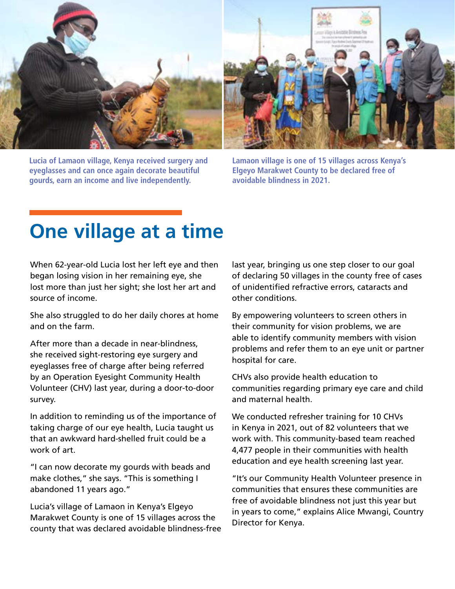

**Lucia of Lamaon village, Kenya received surgery and eyeglasses and can once again decorate beautiful gourds, earn an income and live independently.**

**Lamaon village is one of 15 villages across Kenya's Elgeyo Marakwet County to be declared free of avoidable blindness in 2021.**

# **One village at a time**

When 62-year-old Lucia lost her left eye and then began losing vision in her remaining eye, she lost more than just her sight; she lost her art and source of income.

She also struggled to do her daily chores at home and on the farm.

After more than a decade in near-blindness, she received sight-restoring eye surgery and eyeglasses free of charge after being referred by an Operation Eyesight Community Health Volunteer (CHV) last year, during a door-to-door survey.

In addition to reminding us of the importance of taking charge of our eye health, Lucia taught us that an awkward hard-shelled fruit could be a work of art.

"I can now decorate my gourds with beads and make clothes," she says. "This is something I abandoned 11 years ago."

Lucia's village of Lamaon in Kenya's Elgeyo Marakwet County is one of 15 villages across the county that was declared avoidable blindness-free last year, bringing us one step closer to our goal of declaring 50 villages in the county free of cases of unidentified refractive errors, cataracts and other conditions.

By empowering volunteers to screen others in their community for vision problems, we are able to identify community members with vision problems and refer them to an eye unit or partner hospital for care.

CHVs also provide health education to communities regarding primary eye care and child and maternal health.

We conducted refresher training for 10 CHVs in Kenya in 2021, out of 82 volunteers that we work with. This community-based team reached 4,477 people in their communities with health education and eye health screening last year.

"It's our Community Health Volunteer presence in communities that ensures these communities are free of avoidable blindness not just this year but in years to come," explains Alice Mwangi, Country Director for Kenya.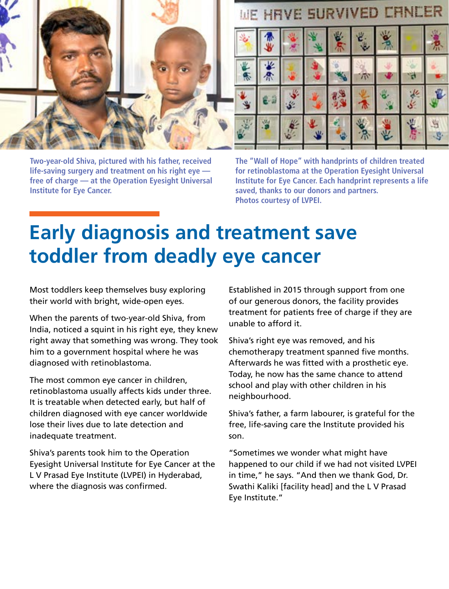

**Two-year-old Shiva, pictured with his father, received life-saving surgery and treatment on his right eye free of charge — at the Operation Eyesight Universal Institute for Eye Cancer.**

### WE HRVE SURVIVED CHNCER



**The "Wall of Hope" with handprints of children treated for retinoblastoma at the Operation Eyesight Universal Institute for Eye Cancer. Each handprint represents a life saved, thanks to our donors and partners. Photos courtesy of LVPEI.**

# **Early diagnosis and treatment save toddler from deadly eye cancer**

Most toddlers keep themselves busy exploring their world with bright, wide-open eyes.

When the parents of two-year-old Shiva, from India, noticed a squint in his right eye, they knew right away that something was wrong. They took him to a government hospital where he was diagnosed with retinoblastoma.

The most common eye cancer in children, retinoblastoma usually affects kids under three. It is treatable when detected early, but half of children diagnosed with eye cancer worldwide lose their lives due to late detection and inadequate treatment.

Shiva's parents took him to the Operation Eyesight Universal Institute for Eye Cancer at the L V Prasad Eye Institute (LVPEI) in Hyderabad, where the diagnosis was confirmed.

Established in 2015 through support from one of our generous donors, the facility provides treatment for patients free of charge if they are unable to afford it.

Shiva's right eye was removed, and his chemotherapy treatment spanned five months. Afterwards he was fitted with a prosthetic eye. Today, he now has the same chance to attend school and play with other children in his neighbourhood.

Shiva's father, a farm labourer, is grateful for the free, life-saving care the Institute provided his son.

"Sometimes we wonder what might have happened to our child if we had not visited LVPEI in time," he says. "And then we thank God, Dr. Swathi Kaliki [facility head] and the L V Prasad Eye Institute."